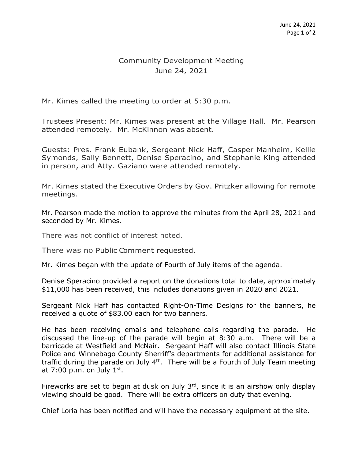## Community Development Meeting June 24, 2021

Mr. Kimes called the meeting to order at 5:30 p.m.

Trustees Present: Mr. Kimes was present at the Village Hall. Mr. Pearson attended remotely. Mr. McKinnon was absent.

Guests: Pres. Frank Eubank, Sergeant Nick Haff, Casper Manheim, Kellie Symonds, Sally Bennett, Denise Speracino, and Stephanie King attended in person, and Atty. Gaziano were attended remotely.

Mr. Kimes stated the Executive Orders by Gov. Pritzker allowing for remote meetings.

Mr. Pearson made the motion to approve the minutes from the April 28, 2021 and seconded by Mr. Kimes.

There was not conflict of interest noted.

There was no Public Comment requested.

Mr. Kimes began with the update of Fourth of July items of the agenda.

Denise Speracino provided a report on the donations total to date, approximately \$11,000 has been received, this includes donations given in 2020 and 2021.

Sergeant Nick Haff has contacted Right-On-Time Designs for the banners, he received a quote of \$83.00 each for two banners.

He has been receiving emails and telephone calls regarding the parade. He discussed the line-up of the parade will begin at 8:30 a.m. There will be a barricade at Westfield and McNair. Sergeant Haff will also contact Illinois State Police and Winnebago County Sherriff's departments for additional assistance for traffic during the parade on July  $4<sup>th</sup>$ . There will be a Fourth of July Team meeting at  $7:00$  p.m. on July  $1<sup>st</sup>$ .

Fireworks are set to begin at dusk on July  $3<sup>rd</sup>$ , since it is an airshow only display viewing should be good. There will be extra officers on duty that evening.

Chief Loria has been notified and will have the necessary equipment at the site.